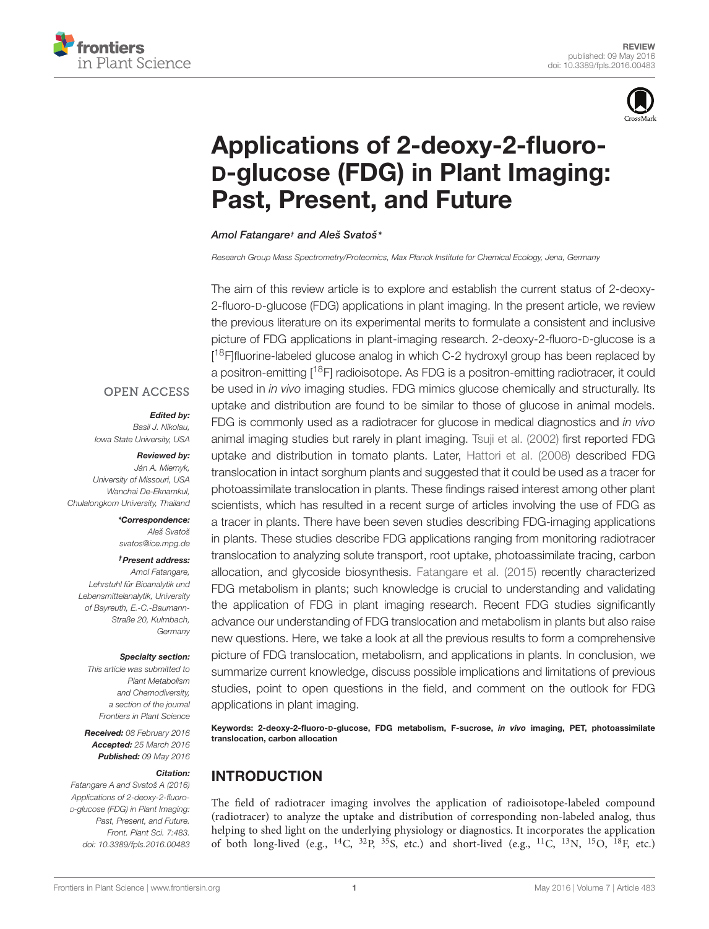



# [Applications of 2-deoxy-2-fluoro-](http://journal.frontiersin.org/article/10.3389/fpls.2016.00483/abstract)D-glucose (FDG) in Plant Imaging: Past, Present, and Future

#### Amol [Fatangare](http://loop.frontiersin.org/people/267058/overview)† and [Aleš Svatoš](http://loop.frontiersin.org/people/233688/overview)\*

Research Group Mass Spectrometry/Proteomics, Max Planck Institute for Chemical Ecology, Jena, Germany

The aim of this review article is to explore and establish the current status of 2-deoxy-2-fluoro-D-glucose (FDG) applications in plant imaging. In the present article, we review the previous literature on its experimental merits to formulate a consistent and inclusive picture of FDG applications in plant-imaging research. 2-deoxy-2-fluoro-D-glucose is a [<sup>18</sup>F]fluorine-labeled glucose analog in which C-2 hydroxyl group has been replaced by a positron-emitting [18F] radioisotope. As FDG is a positron-emitting radiotracer, it could be used in in vivo imaging studies. FDG mimics glucose chemically and structurally. Its uptake and distribution are found to be similar to those of glucose in animal models. FDG is commonly used as a radiotracer for glucose in medical diagnostics and in vivo animal imaging studies but rarely in plant imaging. [Tsuji et al.](#page-9-0) [\(2002\)](#page-9-0) first reported FDG uptake and distribution in tomato plants. Later, [Hattori et al.](#page-8-0) [\(2008\)](#page-8-0) described FDG translocation in intact sorghum plants and suggested that it could be used as a tracer for photoassimilate translocation in plants. These findings raised interest among other plant scientists, which has resulted in a recent surge of articles involving the use of FDG as a tracer in plants. There have been seven studies describing FDG-imaging applications in plants. These studies describe FDG applications ranging from monitoring radiotracer translocation to analyzing solute transport, root uptake, photoassimilate tracing, carbon allocation, and glycoside biosynthesis. [Fatangare et al.](#page-8-1) [\(2015\)](#page-8-1) recently characterized FDG metabolism in plants; such knowledge is crucial to understanding and validating the application of FDG in plant imaging research. Recent FDG studies significantly advance our understanding of FDG translocation and metabolism in plants but also raise new questions. Here, we take a look at all the previous results to form a comprehensive picture of FDG translocation, metabolism, and applications in plants. In conclusion, we summarize current knowledge, discuss possible implications and limitations of previous studies, point to open questions in the field, and comment on the outlook for FDG applications in plant imaging.

Keywords: 2-deoxy-2-fluoro-D-glucose, FDG metabolism, F-sucrose, in vivo imaging, PET, photoassimilate translocation, carbon allocation

### INTRODUCTION

The field of radiotracer imaging involves the application of radioisotope-labeled compound (radiotracer) to analyze the uptake and distribution of corresponding non-labeled analog, thus helping to shed light on the underlying physiology or diagnostics. It incorporates the application of both long-lived (e.g.,  $^{14}C$ ,  $^{32}P$ ,  $^{35}S$ , etc.) and short-lived (e.g.,  $^{11}C$ ,  $^{13}N$ ,  $^{15}O$ ,  $^{18}F$ , etc.)

#### **OPEN ACCESS**

#### Edited by:

Basil J. Nikolau, Iowa State University, USA

#### Reviewed by: Ján A. Miernyk,

University of Missouri, USA Wanchai De-Eknamkul, Chulalongkorn University, Thailand

> \*Correspondence: Aleš Svatoš svatos@ice.mpg.de

#### †Present address:

Amol Fatangare, Lehrstuhl für Bioanalytik und Lebensmittelanalytik, University of Bayreuth, E.-C.-Baumann-Straße 20, Kulmbach, **Germany** 

#### Specialty section:

This article was submitted to Plant Metabolism and Chemodiversity, a section of the journal Frontiers in Plant Science

Received: 08 February 2016 Accepted: 25 March 2016 Published: 09 May 2016

#### Citation:

Fatangare A and Svatoš A (2016) Applications of 2-deoxy-2-fluoro-D-glucose (FDG) in Plant Imaging: Past, Present, and Future. Front. Plant Sci. 7:483. doi: [10.3389/fpls.2016.00483](http://dx.doi.org/10.3389/fpls.2016.00483)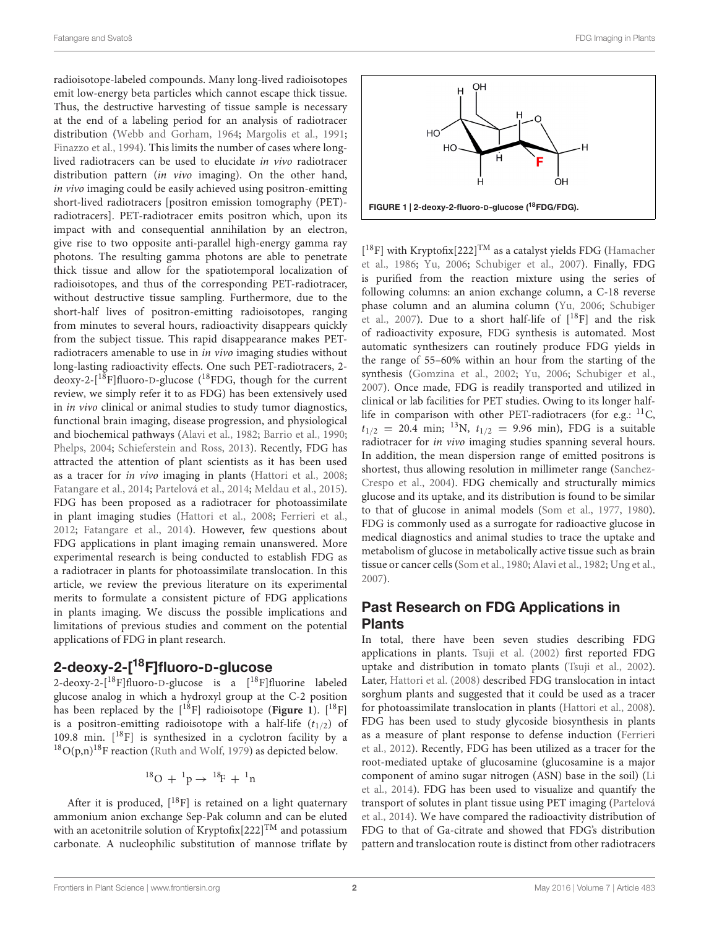radioisotope-labeled compounds. Many long-lived radioisotopes emit low-energy beta particles which cannot escape thick tissue. Thus, the destructive harvesting of tissue sample is necessary at the end of a labeling period for an analysis of radiotracer distribution [\(Webb and Gorham,](#page-10-0) [1964;](#page-10-0) [Margolis et al.,](#page-9-1) [1991;](#page-9-1) [Finazzo et al.,](#page-8-2) [1994\)](#page-8-2). This limits the number of cases where longlived radiotracers can be used to elucidate in vivo radiotracer distribution pattern (in vivo imaging). On the other hand, in vivo imaging could be easily achieved using positron-emitting short-lived radiotracers [positron emission tomography (PET) radiotracers]. PET-radiotracer emits positron which, upon its impact with and consequential annihilation by an electron, give rise to two opposite anti-parallel high-energy gamma ray photons. The resulting gamma photons are able to penetrate thick tissue and allow for the spatiotemporal localization of radioisotopes, and thus of the corresponding PET-radiotracer, without destructive tissue sampling. Furthermore, due to the short-half lives of positron-emitting radioisotopes, ranging from minutes to several hours, radioactivity disappears quickly from the subject tissue. This rapid disappearance makes PETradiotracers amenable to use in *in vivo* imaging studies without long-lasting radioactivity effects. One such PET-radiotracers, 2 deoxy-2- $[18F]$ fluoro-D-glucose ( $18FDG$ , though for the current review, we simply refer it to as FDG) has been extensively used in in vivo clinical or animal studies to study tumor diagnostics, functional brain imaging, disease progression, and physiological and biochemical pathways [\(Alavi et al.,](#page-8-3) [1982;](#page-8-3) [Barrio et al.,](#page-8-4) [1990;](#page-8-4) [Phelps,](#page-9-2) [2004;](#page-9-2) [Schieferstein and Ross,](#page-9-3) [2013\)](#page-9-3). Recently, FDG has attracted the attention of plant scientists as it has been used as a tracer for in vivo imaging in plants [\(Hattori et al.,](#page-8-0) [2008;](#page-8-0) [Fatangare et al.,](#page-8-5) [2014;](#page-8-5) [Partelová et al.,](#page-9-4) [2014;](#page-9-4) [Meldau et al.,](#page-9-5) [2015\)](#page-9-5). FDG has been proposed as a radiotracer for photoassimilate in plant imaging studies [\(Hattori et al.,](#page-8-0) [2008;](#page-8-0) [Ferrieri et al.,](#page-8-6) [2012;](#page-8-6) [Fatangare et al.,](#page-8-5) [2014\)](#page-8-5). However, few questions about FDG applications in plant imaging remain unanswered. More experimental research is being conducted to establish FDG as a radiotracer in plants for photoassimilate translocation. In this article, we review the previous literature on its experimental merits to formulate a consistent picture of FDG applications in plants imaging. We discuss the possible implications and limitations of previous studies and comment on the potential applications of FDG in plant research.

#### 2-deoxy-2-[18F]fluoro-D-glucose

2-deoxy-2- $[^{18}F]$ fluoro-D-glucose is a  $[^{18}F]$ fluorine labeled glucose analog in which a hydroxyl group at the C-2 position has been replaced by the [<sup>18</sup>F] radioisotope (Figure 1). [<sup>18</sup>F] is a positron-emitting radioisotope with a half-life  $(t_{1/2})$  of 109.8 min. [18F] is synthesized in a cyclotron facility by a  $18O(p,n)^{18}$ F reaction [\(Ruth and Wolf,](#page-9-6) [1979\)](#page-9-6) as depicted below.

$$
^{18}{\rm O}~+~^{1}{\rm p} \rightarrow~^{18}{\rm F}~+~^{1}{\rm n}
$$

After it is produced,  $[$ <sup>18</sup>F $]$  is retained on a light quaternary ammonium anion exchange Sep-Pak column and can be eluted with an acetonitrile solution of Kryptofix $[222]^{TM}$  and potassium carbonate. A nucleophilic substitution of mannose triflate by



 $[$ <sup>18</sup>F] with Kryptofix $[222]$ <sup>TM</sup> as a catalyst yields FDG [\(Hamacher](#page-8-7) [et al.,](#page-8-7) [1986;](#page-8-7) [Yu,](#page-10-1) [2006;](#page-10-1) [Schubiger et al.,](#page-9-7) [2007\)](#page-9-7). Finally, FDG is purified from the reaction mixture using the series of following columns: an anion exchange column, a C-18 reverse phase column and an alumina column [\(Yu,](#page-10-1) [2006;](#page-10-1) [Schubiger](#page-9-7) [et al.,](#page-9-7) [2007\)](#page-9-7). Due to a short half-life of  $[{}^{18}F]$  and the risk of radioactivity exposure, FDG synthesis is automated. Most automatic synthesizers can routinely produce FDG yields in the range of 55–60% within an hour from the starting of the synthesis [\(Gomzina et al.,](#page-8-8) [2002;](#page-8-8) [Yu,](#page-10-1) [2006;](#page-10-1) [Schubiger et al.,](#page-9-7) [2007\)](#page-9-7). Once made, FDG is readily transported and utilized in clinical or lab facilities for PET studies. Owing to its longer halflife in comparison with other PET-radiotracers (for e.g.:  $^{11}C$ ,  $t_{1/2}$  = 20.4 min; <sup>13</sup>N,  $t_{1/2}$  = 9.96 min), FDG is a suitable radiotracer for in vivo imaging studies spanning several hours. In addition, the mean dispersion range of emitted positrons is shortest, thus allowing resolution in millimeter range [\(Sanchez-](#page-9-8)[Crespo et al.,](#page-9-8) [2004\)](#page-9-8). FDG chemically and structurally mimics glucose and its uptake, and its distribution is found to be similar to that of glucose in animal models [\(Som et al.,](#page-9-9) [1977,](#page-9-9) [1980\)](#page-9-10). FDG is commonly used as a surrogate for radioactive glucose in medical diagnostics and animal studies to trace the uptake and metabolism of glucose in metabolically active tissue such as brain tissue or cancer cells [\(Som et al.,](#page-9-10) [1980;](#page-9-10) [Alavi et al.,](#page-8-3) [1982;](#page-8-3) [Ung et al.,](#page-9-11) [2007\)](#page-9-11).

#### Past Research on FDG Applications in Plants

In total, there have been seven studies describing FDG applications in plants. [Tsuji et al.](#page-9-0) [\(2002\)](#page-9-0) first reported FDG uptake and distribution in tomato plants [\(Tsuji et al.,](#page-9-0) [2002\)](#page-9-0). Later, [Hattori et al.](#page-8-0) [\(2008\)](#page-8-0) described FDG translocation in intact sorghum plants and suggested that it could be used as a tracer for photoassimilate translocation in plants [\(Hattori et al.,](#page-8-0) [2008\)](#page-8-0). FDG has been used to study glycoside biosynthesis in plants as a measure of plant response to defense induction [\(Ferrieri](#page-8-6) [et al.,](#page-8-6) [2012\)](#page-8-6). Recently, FDG has been utilized as a tracer for the root-mediated uptake of glucosamine (glucosamine is a major component of amino sugar nitrogen (ASN) base in the soil) [\(Li](#page-9-12) [et al.,](#page-9-12) [2014\)](#page-9-12). FDG has been used to visualize and quantify the transport of solutes in plant tissue using PET imaging [\(Partelová](#page-9-4) [et al.,](#page-9-4) [2014\)](#page-9-4). We have compared the radioactivity distribution of FDG to that of Ga-citrate and showed that FDG's distribution pattern and translocation route is distinct from other radiotracers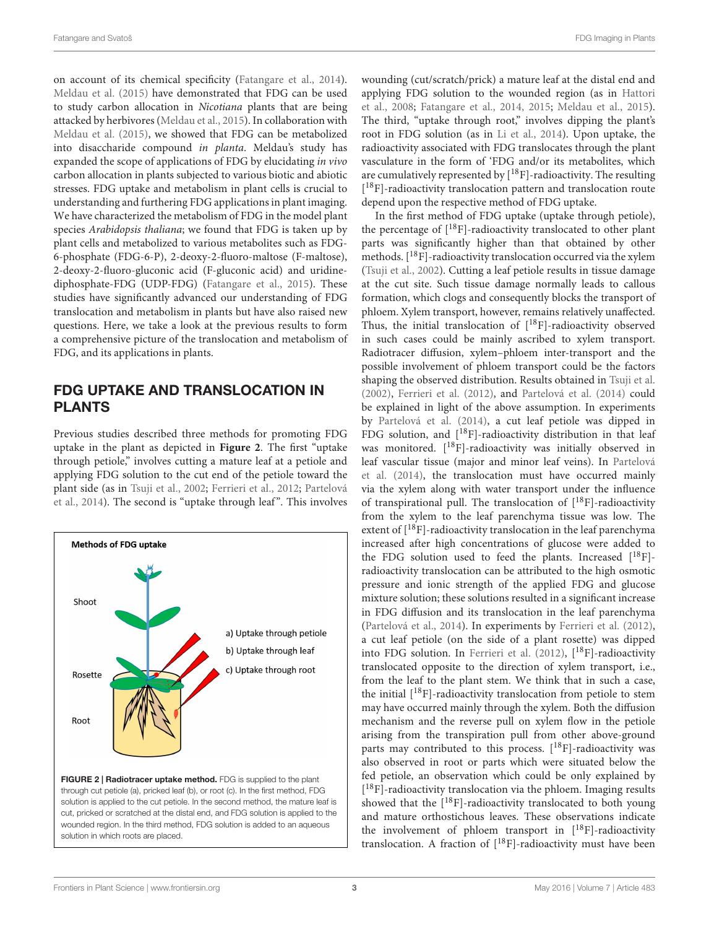on account of its chemical specificity [\(Fatangare et al.,](#page-8-5) [2014\)](#page-8-5). [Meldau et al.](#page-9-5) [\(2015\)](#page-9-5) have demonstrated that FDG can be used to study carbon allocation in Nicotiana plants that are being attacked by herbivores [\(Meldau et al.,](#page-9-5) [2015\)](#page-9-5). In collaboration with [Meldau et al.](#page-9-5) [\(2015\)](#page-9-5), we showed that FDG can be metabolized into disaccharide compound in planta. Meldau's study has expanded the scope of applications of FDG by elucidating in vivo carbon allocation in plants subjected to various biotic and abiotic stresses. FDG uptake and metabolism in plant cells is crucial to understanding and furthering FDG applications in plant imaging. We have characterized the metabolism of FDG in the model plant species Arabidopsis thaliana; we found that FDG is taken up by plant cells and metabolized to various metabolites such as FDG-6-phosphate (FDG-6-P), 2-deoxy-2-fluoro-maltose (F-maltose), 2-deoxy-2-fluoro-gluconic acid (F-gluconic acid) and uridinediphosphate-FDG (UDP-FDG) [\(Fatangare et al.,](#page-8-1) [2015\)](#page-8-1). These studies have significantly advanced our understanding of FDG translocation and metabolism in plants but have also raised new questions. Here, we take a look at the previous results to form a comprehensive picture of the translocation and metabolism of FDG, and its applications in plants.

### FDG UPTAKE AND TRANSLOCATION IN PLANTS

Previous studies described three methods for promoting FDG uptake in the plant as depicted in **[Figure 2](#page-2-0)**. The first "uptake through petiole," involves cutting a mature leaf at a petiole and applying FDG solution to the cut end of the petiole toward the plant side (as in [Tsuji et al.,](#page-9-0) [2002;](#page-9-0) [Ferrieri et al.,](#page-8-6) [2012;](#page-8-6) [Partelová](#page-9-4) [et al.,](#page-9-4) [2014\)](#page-9-4). The second is "uptake through leaf". This involves

<span id="page-2-0"></span>

wounding (cut/scratch/prick) a mature leaf at the distal end and applying FDG solution to the wounded region (as in [Hattori](#page-8-0) [et al.,](#page-8-0) [2008;](#page-8-0) [Fatangare et al.,](#page-8-5) [2014,](#page-8-5) [2015;](#page-8-1) [Meldau et al.,](#page-9-5) [2015\)](#page-9-5). The third, "uptake through root," involves dipping the plant's root in FDG solution (as in [Li et al.,](#page-9-12) [2014\)](#page-9-12). Upon uptake, the radioactivity associated with FDG translocates through the plant vasculature in the form of 'FDG and/or its metabolites, which are cumulatively represented by  $[{}^{18}F]$ -radioactivity. The resulting [ <sup>18</sup>F]-radioactivity translocation pattern and translocation route depend upon the respective method of FDG uptake.

In the first method of FDG uptake (uptake through petiole), the percentage of  $[{}^{18}F]$ -radioactivity translocated to other plant parts was significantly higher than that obtained by other methods. [18F]-radioactivity translocation occurred via the xylem [\(Tsuji et al.,](#page-9-0) [2002\)](#page-9-0). Cutting a leaf petiole results in tissue damage at the cut site. Such tissue damage normally leads to callous formation, which clogs and consequently blocks the transport of phloem. Xylem transport, however, remains relatively unaffected. Thus, the initial translocation of  $[^{18}F]$ -radioactivity observed in such cases could be mainly ascribed to xylem transport. Radiotracer diffusion, xylem–phloem inter-transport and the possible involvement of phloem transport could be the factors shaping the observed distribution. Results obtained in [Tsuji et al.](#page-9-0) [\(2002\)](#page-9-0), [Ferrieri et al.](#page-8-6) [\(2012\)](#page-8-6), and [Partelová et al.](#page-9-4) [\(2014\)](#page-9-4) could be explained in light of the above assumption. In experiments by [Partelová et al.](#page-9-4) [\(2014\)](#page-9-4), a cut leaf petiole was dipped in FDG solution, and  $[{}^{18}F]$ -radioactivity distribution in that leaf was monitored. [<sup>18</sup>F]-radioactivity was initially observed in leaf vascular tissue (major and minor leaf veins). In [Partelová](#page-9-4) [et al.](#page-9-4) [\(2014\)](#page-9-4), the translocation must have occurred mainly via the xylem along with water transport under the influence of transpirational pull. The translocation of  $[{}^{18}F]$ -radioactivity from the xylem to the leaf parenchyma tissue was low. The extent of  $[{}^{18}F]$ -radioactivity translocation in the leaf parenchyma increased after high concentrations of glucose were added to the FDG solution used to feed the plants. Increased  $[{}^{18}F]$ radioactivity translocation can be attributed to the high osmotic pressure and ionic strength of the applied FDG and glucose mixture solution; these solutions resulted in a significant increase in FDG diffusion and its translocation in the leaf parenchyma [\(Partelová et al.,](#page-9-4) [2014\)](#page-9-4). In experiments by [Ferrieri et al.](#page-8-6) [\(2012\)](#page-8-6), a cut leaf petiole (on the side of a plant rosette) was dipped into FDG solution. In [Ferrieri et al.](#page-8-6) [\(2012\)](#page-8-6),  $[18F]$ -radioactivity translocated opposite to the direction of xylem transport, i.e., from the leaf to the plant stem. We think that in such a case, the initial [18F]-radioactivity translocation from petiole to stem may have occurred mainly through the xylem. Both the diffusion mechanism and the reverse pull on xylem flow in the petiole arising from the transpiration pull from other above-ground parts may contributed to this process. [<sup>18</sup>F]-radioactivity was also observed in root or parts which were situated below the fed petiole, an observation which could be only explained by [ <sup>18</sup>F]-radioactivity translocation via the phloem. Imaging results showed that the  $[$ <sup>18</sup>F]-radioactivity translocated to both young and mature orthostichous leaves. These observations indicate the involvement of phloem transport in  $[{}^{18}F]$ -radioactivity translocation. A fraction of  $[{}^{18}F]$ -radioactivity must have been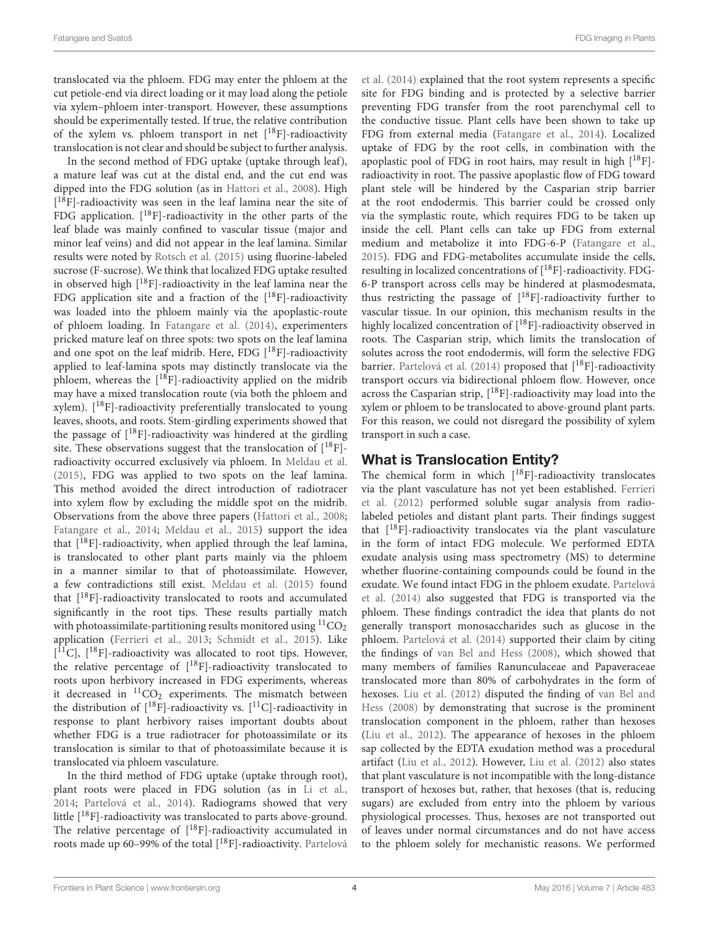translocated via the phloem. FDG may enter the phloem at the cut petiole-end via direct loading or it may load along the petiole via xylem–phloem inter-transport. However, these assumptions should be experimentally tested. If true, the relative contribution of the xylem vs. phloem transport in net  $[{}^{18}F]$ -radioactivity translocation is not clear and should be subject to further analysis.

In the second method of FDG uptake (uptake through leaf), a mature leaf was cut at the distal end, and the cut end was dipped into the FDG solution (as in [Hattori et al.,](#page-8-0) [2008\)](#page-8-0). High [ <sup>18</sup>F]-radioactivity was seen in the leaf lamina near the site of FDG application.  $[18F]$ -radioactivity in the other parts of the leaf blade was mainly confined to vascular tissue (major and minor leaf veins) and did not appear in the leaf lamina. Similar results were noted by [Rotsch et al.](#page-9-13) [\(2015\)](#page-9-13) using fluorine-labeled sucrose (F-sucrose). We think that localized FDG uptake resulted in observed high  $[18F]$ -radioactivity in the leaf lamina near the FDG application site and a fraction of the  $[{}^{18}F]$ -radioactivity was loaded into the phloem mainly via the apoplastic-route of phloem loading. In [Fatangare et al.](#page-8-5) [\(2014\)](#page-8-5), experimenters pricked mature leaf on three spots: two spots on the leaf lamina and one spot on the leaf midrib. Here, FDG  $[{}^{18}F]$ -radioactivity applied to leaf-lamina spots may distinctly translocate via the phloem, whereas the  $[18F]$ -radioactivity applied on the midrib may have a mixed translocation route (via both the phloem and xylem). [18F]-radioactivity preferentially translocated to young leaves, shoots, and roots. Stem-girdling experiments showed that the passage of  $[{}^{18}F]$ -radioactivity was hindered at the girdling site. These observations suggest that the translocation of  $[{}^{18}F]$ radioactivity occurred exclusively via phloem. In [Meldau et al.](#page-9-5) [\(2015\)](#page-9-5), FDG was applied to two spots on the leaf lamina. This method avoided the direct introduction of radiotracer into xylem flow by excluding the middle spot on the midrib. Observations from the above three papers [\(Hattori et al.,](#page-8-0) [2008;](#page-8-0) [Fatangare et al.,](#page-8-5) [2014;](#page-8-5) [Meldau et al.,](#page-9-5) [2015\)](#page-9-5) support the idea that  $[18F]$ -radioactivity, when applied through the leaf lamina, is translocated to other plant parts mainly via the phloem in a manner similar to that of photoassimilate. However, a few contradictions still exist. [Meldau et al.](#page-9-5) [\(2015\)](#page-9-5) found that [18F]-radioactivity translocated to roots and accumulated significantly in the root tips. These results partially match with photoassimilate-partitioning results monitored using  ${}^{11}CO_2$ application [\(Ferrieri et al.,](#page-8-9) [2013;](#page-8-9) [Schmidt et al.,](#page-9-14) [2015\)](#page-9-14). Like [<sup>11</sup>C], [<sup>18</sup>F]-radioactivity was allocated to root tips. However, the relative percentage of  $[{}^{18}F]$ -radioactivity translocated to roots upon herbivory increased in FDG experiments, whereas it decreased in  ${}^{11}CO_2$  experiments. The mismatch between the distribution of  $[{}^{18}F]$ -radioactivity vs.  $[{}^{11}C]$ -radioactivity in response to plant herbivory raises important doubts about whether FDG is a true radiotracer for photoassimilate or its translocation is similar to that of photoassimilate because it is translocated via phloem vasculature.

In the third method of FDG uptake (uptake through root), plant roots were placed in FDG solution (as in [Li et al.,](#page-9-12) [2014;](#page-9-12) [Partelová et al.,](#page-9-4) [2014\)](#page-9-4). Radiograms showed that very little  $[{}^{18}F]$ -radioactivity was translocated to parts above-ground. The relative percentage of  $[{}^{18}F]$ -radioactivity accumulated in roots made up 60–99% of the total [18F]-radioactivity. [Partelová](#page-9-4)

[et al.](#page-9-4) [\(2014\)](#page-9-4) explained that the root system represents a specific site for FDG binding and is protected by a selective barrier preventing FDG transfer from the root parenchymal cell to the conductive tissue. Plant cells have been shown to take up FDG from external media [\(Fatangare et al.,](#page-8-5) [2014\)](#page-8-5). Localized uptake of FDG by the root cells, in combination with the apoplastic pool of FDG in root hairs, may result in high  $[18F]$ radioactivity in root. The passive apoplastic flow of FDG toward plant stele will be hindered by the Casparian strip barrier at the root endodermis. This barrier could be crossed only via the symplastic route, which requires FDG to be taken up inside the cell. Plant cells can take up FDG from external medium and metabolize it into FDG-6-P [\(Fatangare et al.,](#page-8-1) [2015\)](#page-8-1). FDG and FDG-metabolites accumulate inside the cells, resulting in localized concentrations of  $[^{18}F]$ -radioactivity. FDG-6-P transport across cells may be hindered at plasmodesmata, thus restricting the passage of  $[{}^{18}F]$ -radioactivity further to vascular tissue. In our opinion, this mechanism results in the highly localized concentration of  $[{}^{18}F]$ -radioactivity observed in roots. The Casparian strip, which limits the translocation of solutes across the root endodermis, will form the selective FDG barrier. [Partelová et al.](#page-9-4) [\(2014\)](#page-9-4) proposed that  $[{}^{18}F]$ -radioactivity transport occurs via bidirectional phloem flow. However, once across the Casparian strip,  $[{}^{18}F]$ -radioactivity may load into the xylem or phloem to be translocated to above-ground plant parts. For this reason, we could not disregard the possibility of xylem transport in such a case.

### What is Translocation Entity?

The chemical form in which  $[18F]$ -radioactivity translocates via the plant vasculature has not yet been established. [Ferrieri](#page-8-6) [et al.](#page-8-6) [\(2012\)](#page-8-6) performed soluble sugar analysis from radiolabeled petioles and distant plant parts. Their findings suggest that  $[18F]$ -radioactivity translocates via the plant vasculature in the form of intact FDG molecule. We performed EDTA exudate analysis using mass spectrometry (MS) to determine whether fluorine-containing compounds could be found in the exudate. We found intact FDG in the phloem exudate. [Partelová](#page-9-4) [et al.](#page-9-4) [\(2014\)](#page-9-4) also suggested that FDG is transported via the phloem. These findings contradict the idea that plants do not generally transport monosaccharides such as glucose in the phloem. [Partelová et al.](#page-9-4) [\(2014\)](#page-9-4) supported their claim by citing the findings of [van Bel and Hess](#page-10-2) [\(2008\)](#page-10-2), which showed that many members of families Ranunculaceae and Papaveraceae translocated more than 80% of carbohydrates in the form of hexoses. [Liu et al.](#page-9-15) [\(2012\)](#page-9-15) disputed the finding of [van Bel and](#page-10-2) [Hess](#page-10-2) [\(2008\)](#page-10-2) by demonstrating that sucrose is the prominent translocation component in the phloem, rather than hexoses [\(Liu et al.,](#page-9-15) [2012\)](#page-9-15). The appearance of hexoses in the phloem sap collected by the EDTA exudation method was a procedural artifact [\(Liu et al.,](#page-9-15) [2012\)](#page-9-15). However, [Liu et al.](#page-9-15) [\(2012\)](#page-9-15) also states that plant vasculature is not incompatible with the long-distance transport of hexoses but, rather, that hexoses (that is, reducing sugars) are excluded from entry into the phloem by various physiological processes. Thus, hexoses are not transported out of leaves under normal circumstances and do not have access to the phloem solely for mechanistic reasons. We performed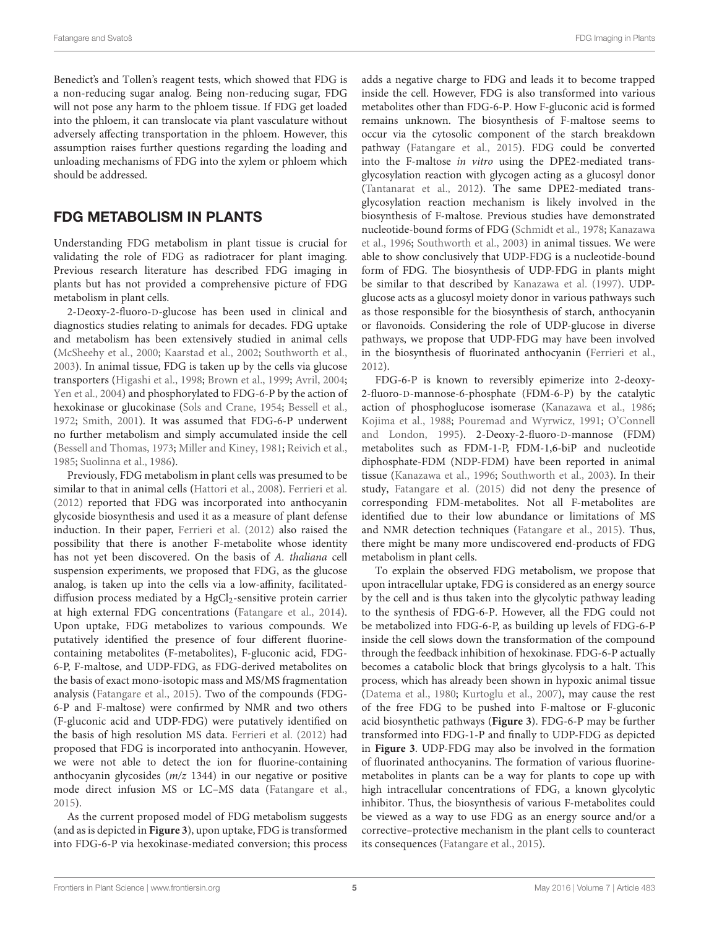Benedict's and Tollen's reagent tests, which showed that FDG is a non-reducing sugar analog. Being non-reducing sugar, FDG will not pose any harm to the phloem tissue. If FDG get loaded into the phloem, it can translocate via plant vasculature without adversely affecting transportation in the phloem. However, this assumption raises further questions regarding the loading and unloading mechanisms of FDG into the xylem or phloem which should be addressed.

#### FDG METABOLISM IN PLANTS

Understanding FDG metabolism in plant tissue is crucial for validating the role of FDG as radiotracer for plant imaging. Previous research literature has described FDG imaging in plants but has not provided a comprehensive picture of FDG metabolism in plant cells.

2-Deoxy-2-fluoro-D-glucose has been used in clinical and diagnostics studies relating to animals for decades. FDG uptake and metabolism has been extensively studied in animal cells [\(McSheehy et al.,](#page-9-16) [2000;](#page-9-16) [Kaarstad et al.,](#page-8-10) [2002;](#page-8-10) [Southworth et al.,](#page-9-17) [2003\)](#page-9-17). In animal tissue, FDG is taken up by the cells via glucose transporters [\(Higashi et al.,](#page-8-11) [1998;](#page-8-11) [Brown et al.,](#page-8-12) [1999;](#page-8-12) [Avril,](#page-8-13) [2004;](#page-8-13) [Yen et al.,](#page-10-3) [2004\)](#page-10-3) and phosphorylated to FDG-6-P by the action of hexokinase or glucokinase [\(Sols and Crane,](#page-9-18) [1954;](#page-9-18) [Bessell et al.,](#page-8-14) [1972;](#page-8-14) [Smith,](#page-9-19) [2001\)](#page-9-19). It was assumed that FDG-6-P underwent no further metabolism and simply accumulated inside the cell [\(Bessell and Thomas,](#page-8-15) [1973;](#page-8-15) [Miller and Kiney,](#page-9-20) [1981;](#page-9-20) [Reivich et al.,](#page-9-21) [1985;](#page-9-21) [Suolinna et al.,](#page-9-22) [1986\)](#page-9-22).

Previously, FDG metabolism in plant cells was presumed to be similar to that in animal cells [\(Hattori et al.,](#page-8-0) [2008\)](#page-8-0). [Ferrieri et al.](#page-8-6) [\(2012\)](#page-8-6) reported that FDG was incorporated into anthocyanin glycoside biosynthesis and used it as a measure of plant defense induction. In their paper, [Ferrieri et al.](#page-8-6) [\(2012\)](#page-8-6) also raised the possibility that there is another F-metabolite whose identity has not yet been discovered. On the basis of A. thaliana cell suspension experiments, we proposed that FDG, as the glucose analog, is taken up into the cells via a low-affinity, facilitateddiffusion process mediated by a HgCl<sub>2</sub>-sensitive protein carrier at high external FDG concentrations [\(Fatangare et al.,](#page-8-5) [2014\)](#page-8-5). Upon uptake, FDG metabolizes to various compounds. We putatively identified the presence of four different fluorinecontaining metabolites (F-metabolites), F-gluconic acid, FDG-6-P, F-maltose, and UDP-FDG, as FDG-derived metabolites on the basis of exact mono-isotopic mass and MS/MS fragmentation analysis [\(Fatangare et al.,](#page-8-1) [2015\)](#page-8-1). Two of the compounds (FDG-6-P and F-maltose) were confirmed by NMR and two others (F-gluconic acid and UDP-FDG) were putatively identified on the basis of high resolution MS data. [Ferrieri et al.](#page-8-6) [\(2012\)](#page-8-6) had proposed that FDG is incorporated into anthocyanin. However, we were not able to detect the ion for fluorine-containing anthocyanin glycosides  $(m/z 1344)$  in our negative or positive mode direct infusion MS or LC–MS data [\(Fatangare et al.,](#page-8-1) [2015\)](#page-8-1).

As the current proposed model of FDG metabolism suggests (and as is depicted in **[Figure 3](#page-5-0)**), upon uptake, FDG is transformed into FDG-6-P via hexokinase-mediated conversion; this process adds a negative charge to FDG and leads it to become trapped inside the cell. However, FDG is also transformed into various metabolites other than FDG-6-P. How F-gluconic acid is formed remains unknown. The biosynthesis of F-maltose seems to occur via the cytosolic component of the starch breakdown pathway [\(Fatangare et al.,](#page-8-1) [2015\)](#page-8-1). FDG could be converted into the F-maltose in vitro using the DPE2-mediated transglycosylation reaction with glycogen acting as a glucosyl donor [\(Tantanarat et al.,](#page-9-23) [2012\)](#page-9-23). The same DPE2-mediated transglycosylation reaction mechanism is likely involved in the biosynthesis of F-maltose. Previous studies have demonstrated nucleotide-bound forms of FDG [\(Schmidt et al.,](#page-9-24) [1978;](#page-9-24) [Kanazawa](#page-8-16) [et al.,](#page-8-16) [1996;](#page-8-16) [Southworth et al.,](#page-9-17) [2003\)](#page-9-17) in animal tissues. We were able to show conclusively that UDP-FDG is a nucleotide-bound form of FDG. The biosynthesis of UDP-FDG in plants might be similar to that described by [Kanazawa et al.](#page-8-17) [\(1997\)](#page-8-17). UDPglucose acts as a glucosyl moiety donor in various pathways such as those responsible for the biosynthesis of starch, anthocyanin or flavonoids. Considering the role of UDP-glucose in diverse pathways, we propose that UDP-FDG may have been involved in the biosynthesis of fluorinated anthocyanin [\(Ferrieri et al.,](#page-8-6) [2012\)](#page-8-6).

FDG-6-P is known to reversibly epimerize into 2-deoxy-2-fluoro-D-mannose-6-phosphate (FDM-6-P) by the catalytic action of phosphoglucose isomerase [\(Kanazawa et al.,](#page-8-18) [1986;](#page-8-18) [Kojima et al.,](#page-8-19) [1988;](#page-8-19) [Pouremad and Wyrwicz,](#page-9-25) [1991;](#page-9-25) [O'Connell](#page-9-26) [and London,](#page-9-26) [1995\)](#page-9-26). 2-Deoxy-2-fluoro-D-mannose (FDM) metabolites such as FDM-1-P, FDM-1,6-biP and nucleotide diphosphate-FDM (NDP-FDM) have been reported in animal tissue [\(Kanazawa et al.,](#page-8-16) [1996;](#page-8-16) [Southworth et al.,](#page-9-17) [2003\)](#page-9-17). In their study, [Fatangare et al.](#page-8-1) [\(2015\)](#page-8-1) did not deny the presence of corresponding FDM-metabolites. Not all F-metabolites are identified due to their low abundance or limitations of MS and NMR detection techniques [\(Fatangare et al.,](#page-8-1) [2015\)](#page-8-1). Thus, there might be many more undiscovered end-products of FDG metabolism in plant cells.

To explain the observed FDG metabolism, we propose that upon intracellular uptake, FDG is considered as an energy source by the cell and is thus taken into the glycolytic pathway leading to the synthesis of FDG-6-P. However, all the FDG could not be metabolized into FDG-6-P, as building up levels of FDG-6-P inside the cell slows down the transformation of the compound through the feedback inhibition of hexokinase. FDG-6-P actually becomes a catabolic block that brings glycolysis to a halt. This process, which has already been shown in hypoxic animal tissue [\(Datema et al.,](#page-8-20) [1980;](#page-8-20) [Kurtoglu et al.,](#page-8-21) [2007\)](#page-8-21), may cause the rest of the free FDG to be pushed into F-maltose or F-gluconic acid biosynthetic pathways (**[Figure 3](#page-5-0)**). FDG-6-P may be further transformed into FDG-1-P and finally to UDP-FDG as depicted in **[Figure 3](#page-5-0)**. UDP-FDG may also be involved in the formation of fluorinated anthocyanins. The formation of various fluorinemetabolites in plants can be a way for plants to cope up with high intracellular concentrations of FDG, a known glycolytic inhibitor. Thus, the biosynthesis of various F-metabolites could be viewed as a way to use FDG as an energy source and/or a corrective–protective mechanism in the plant cells to counteract its consequences [\(Fatangare et al.,](#page-8-1) [2015\)](#page-8-1).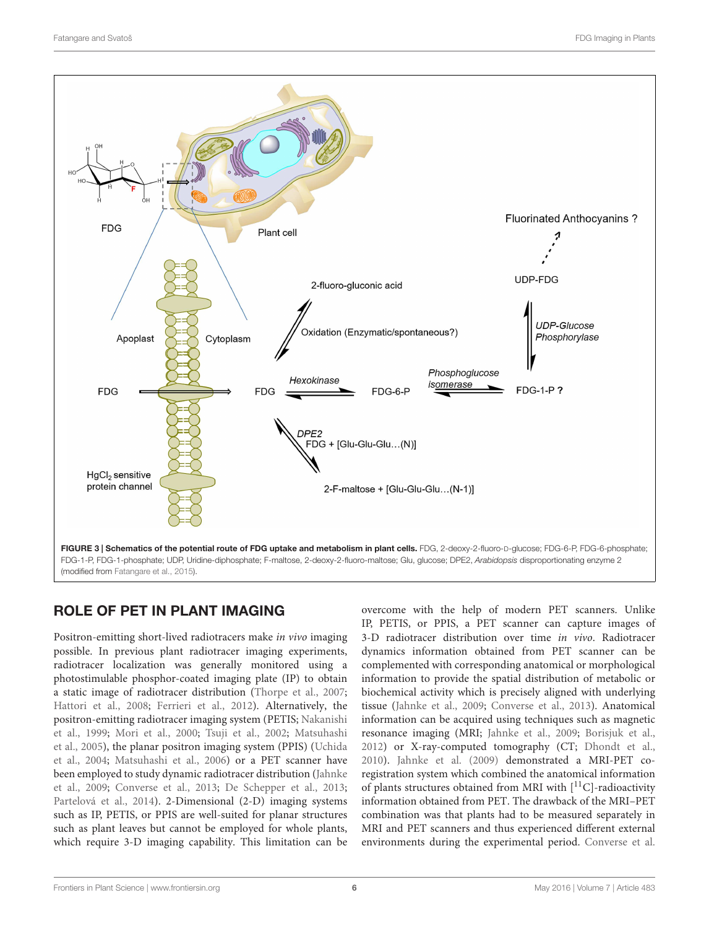

## <span id="page-5-0"></span>ROLE OF PET IN PLANT IMAGING

Positron-emitting short-lived radiotracers make in vivo imaging possible. In previous plant radiotracer imaging experiments, radiotracer localization was generally monitored using a photostimulable phosphor-coated imaging plate (IP) to obtain a static image of radiotracer distribution [\(Thorpe et al.,](#page-9-27) [2007;](#page-9-27) [Hattori et al.,](#page-8-0) [2008;](#page-8-0) [Ferrieri et al.,](#page-8-6) [2012\)](#page-8-6). Alternatively, the positron-emitting radiotracer imaging system (PETIS; [Nakanishi](#page-9-28) [et al.,](#page-9-28) [1999;](#page-9-28) [Mori et al.,](#page-9-29) [2000;](#page-9-29) [Tsuji et al.,](#page-9-0) [2002;](#page-9-0) [Matsuhashi](#page-9-30) [et al.,](#page-9-30) [2005\)](#page-9-30), the planar positron imaging system (PPIS) [\(Uchida](#page-9-31) [et al.,](#page-9-31) [2004;](#page-9-31) [Matsuhashi et al.,](#page-9-32) [2006\)](#page-9-32) or a PET scanner have been employed to study dynamic radiotracer distribution [\(Jahnke](#page-8-22) [et al.,](#page-8-22) [2009;](#page-8-22) [Converse et al.,](#page-8-23) [2013;](#page-8-23) [De Schepper et al.,](#page-8-24) [2013;](#page-8-24) [Partelová et al.,](#page-9-4) [2014\)](#page-9-4). 2-Dimensional (2-D) imaging systems such as IP, PETIS, or PPIS are well-suited for planar structures such as plant leaves but cannot be employed for whole plants, which require 3-D imaging capability. This limitation can be

overcome with the help of modern PET scanners. Unlike IP, PETIS, or PPIS, a PET scanner can capture images of 3-D radiotracer distribution over time in vivo. Radiotracer dynamics information obtained from PET scanner can be complemented with corresponding anatomical or morphological information to provide the spatial distribution of metabolic or biochemical activity which is precisely aligned with underlying tissue [\(Jahnke et al.,](#page-8-22) [2009;](#page-8-22) [Converse et al.,](#page-8-23) [2013\)](#page-8-23). Anatomical information can be acquired using techniques such as magnetic resonance imaging (MRI; [Jahnke et al.,](#page-8-22) [2009;](#page-8-22) [Borisjuk et al.,](#page-8-25) [2012\)](#page-8-25) or X-ray-computed tomography (CT; [Dhondt et al.,](#page-8-26) [2010\)](#page-8-26). [Jahnke et al.](#page-8-22) [\(2009\)](#page-8-22) demonstrated a MRI-PET coregistration system which combined the anatomical information of plants structures obtained from MRI with  $[^{11}C]$ -radioactivity information obtained from PET. The drawback of the MRI–PET combination was that plants had to be measured separately in MRI and PET scanners and thus experienced different external environments during the experimental period. [Converse et al.](#page-8-23)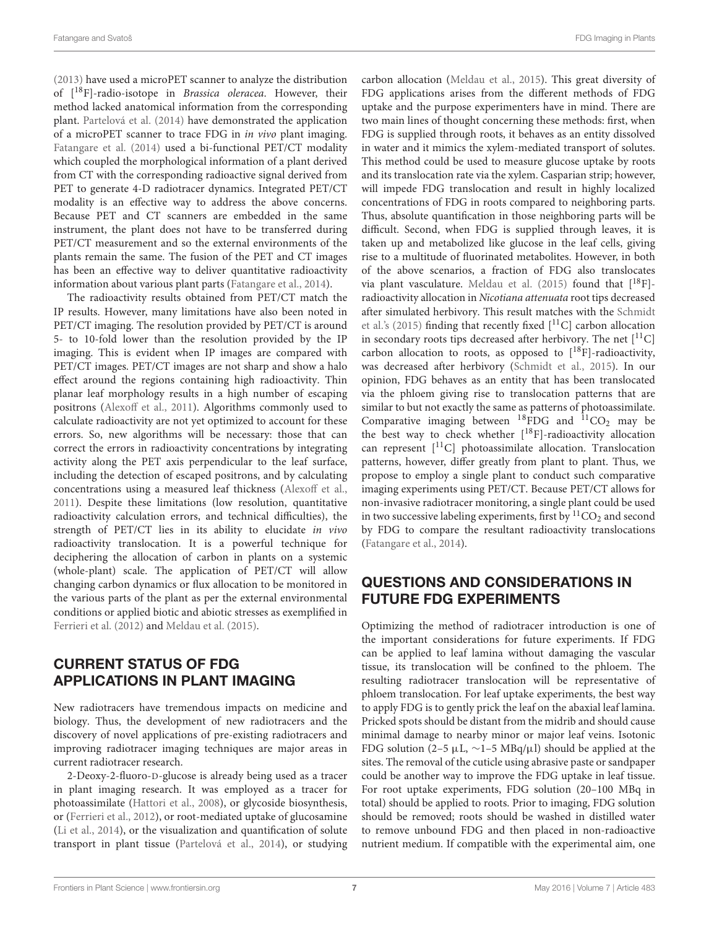[\(2013\)](#page-8-23) have used a microPET scanner to analyze the distribution of  $[{}^{18}F]$ -radio-isotope in *Brassica oleracea*. However, their method lacked anatomical information from the corresponding plant. [Partelová et al.](#page-9-4) [\(2014\)](#page-9-4) have demonstrated the application of a microPET scanner to trace FDG in in vivo plant imaging. [Fatangare et al.](#page-8-5) [\(2014\)](#page-8-5) used a bi-functional PET/CT modality which coupled the morphological information of a plant derived from CT with the corresponding radioactive signal derived from PET to generate 4-D radiotracer dynamics. Integrated PET/CT modality is an effective way to address the above concerns. Because PET and CT scanners are embedded in the same instrument, the plant does not have to be transferred during PET/CT measurement and so the external environments of the plants remain the same. The fusion of the PET and CT images has been an effective way to deliver quantitative radioactivity information about various plant parts [\(Fatangare et al.,](#page-8-5) [2014\)](#page-8-5).

The radioactivity results obtained from PET/CT match the IP results. However, many limitations have also been noted in PET/CT imaging. The resolution provided by PET/CT is around 5- to 10-fold lower than the resolution provided by the IP imaging. This is evident when IP images are compared with PET/CT images. PET/CT images are not sharp and show a halo effect around the regions containing high radioactivity. Thin planar leaf morphology results in a high number of escaping positrons [\(Alexoff et al.,](#page-8-27) [2011\)](#page-8-27). Algorithms commonly used to calculate radioactivity are not yet optimized to account for these errors. So, new algorithms will be necessary: those that can correct the errors in radioactivity concentrations by integrating activity along the PET axis perpendicular to the leaf surface, including the detection of escaped positrons, and by calculating concentrations using a measured leaf thickness [\(Alexoff et al.,](#page-8-27) [2011\)](#page-8-27). Despite these limitations (low resolution, quantitative radioactivity calculation errors, and technical difficulties), the strength of PET/CT lies in its ability to elucidate in vivo radioactivity translocation. It is a powerful technique for deciphering the allocation of carbon in plants on a systemic (whole-plant) scale. The application of PET/CT will allow changing carbon dynamics or flux allocation to be monitored in the various parts of the plant as per the external environmental conditions or applied biotic and abiotic stresses as exemplified in [Ferrieri et al.](#page-8-6) [\(2012\)](#page-8-6) and [Meldau et al.](#page-9-5) [\(2015\)](#page-9-5).

### CURRENT STATUS OF FDG APPLICATIONS IN PLANT IMAGING

New radiotracers have tremendous impacts on medicine and biology. Thus, the development of new radiotracers and the discovery of novel applications of pre-existing radiotracers and improving radiotracer imaging techniques are major areas in current radiotracer research.

2-Deoxy-2-fluoro-D-glucose is already being used as a tracer in plant imaging research. It was employed as a tracer for photoassimilate [\(Hattori et al.,](#page-8-0) [2008\)](#page-8-0), or glycoside biosynthesis, or [\(Ferrieri et al.,](#page-8-6) [2012\)](#page-8-6), or root-mediated uptake of glucosamine [\(Li et al.,](#page-9-12) [2014\)](#page-9-12), or the visualization and quantification of solute transport in plant tissue [\(Partelová et al.,](#page-9-4) [2014\)](#page-9-4), or studying

carbon allocation [\(Meldau et al.,](#page-9-5) [2015\)](#page-9-5). This great diversity of FDG applications arises from the different methods of FDG uptake and the purpose experimenters have in mind. There are two main lines of thought concerning these methods: first, when FDG is supplied through roots, it behaves as an entity dissolved in water and it mimics the xylem-mediated transport of solutes. This method could be used to measure glucose uptake by roots and its translocation rate via the xylem. Casparian strip; however, will impede FDG translocation and result in highly localized concentrations of FDG in roots compared to neighboring parts. Thus, absolute quantification in those neighboring parts will be difficult. Second, when FDG is supplied through leaves, it is taken up and metabolized like glucose in the leaf cells, giving rise to a multitude of fluorinated metabolites. However, in both of the above scenarios, a fraction of FDG also translocates via plant vasculature. [Meldau et al.](#page-9-5) [\(2015\)](#page-9-5) found that  $[^{18}F]$ radioactivity allocation in Nicotiana attenuata root tips decreased after simulated herbivory. This result matches with the [Schmidt](#page-9-14) [et al.'](#page-9-14)s [\(2015\)](#page-9-14) finding that recently fixed  $[$ <sup>11</sup>C] carbon allocation in secondary roots tips decreased after herbivory. The net  $[{}^{11}C]$ carbon allocation to roots, as opposed to  $[{}^{18}F]$ -radioactivity, was decreased after herbivory [\(Schmidt et al.,](#page-9-14) [2015\)](#page-9-14). In our opinion, FDG behaves as an entity that has been translocated via the phloem giving rise to translocation patterns that are similar to but not exactly the same as patterns of photoassimilate. Comparative imaging between  ${}^{18}$ FDG and  ${}^{11}$ CO<sub>2</sub> may be the best way to check whether  $[$ <sup>18</sup>F]-radioactivity allocation can represent  $\lceil$ <sup>11</sup>C] photoassimilate allocation. Translocation patterns, however, differ greatly from plant to plant. Thus, we propose to employ a single plant to conduct such comparative imaging experiments using PET/CT. Because PET/CT allows for non-invasive radiotracer monitoring, a single plant could be used in two successive labeling experiments, first by  ${}^{11}CO_2$  and second by FDG to compare the resultant radioactivity translocations [\(Fatangare et al.,](#page-8-5) [2014\)](#page-8-5).

#### QUESTIONS AND CONSIDERATIONS IN FUTURE FDG EXPERIMENTS

Optimizing the method of radiotracer introduction is one of the important considerations for future experiments. If FDG can be applied to leaf lamina without damaging the vascular tissue, its translocation will be confined to the phloem. The resulting radiotracer translocation will be representative of phloem translocation. For leaf uptake experiments, the best way to apply FDG is to gently prick the leaf on the abaxial leaf lamina. Pricked spots should be distant from the midrib and should cause minimal damage to nearby minor or major leaf veins. Isotonic FDG solution (2–5 µL,  $\sim$ 1–5 MBq/µl) should be applied at the sites. The removal of the cuticle using abrasive paste or sandpaper could be another way to improve the FDG uptake in leaf tissue. For root uptake experiments, FDG solution (20–100 MBq in total) should be applied to roots. Prior to imaging, FDG solution should be removed; roots should be washed in distilled water to remove unbound FDG and then placed in non-radioactive nutrient medium. If compatible with the experimental aim, one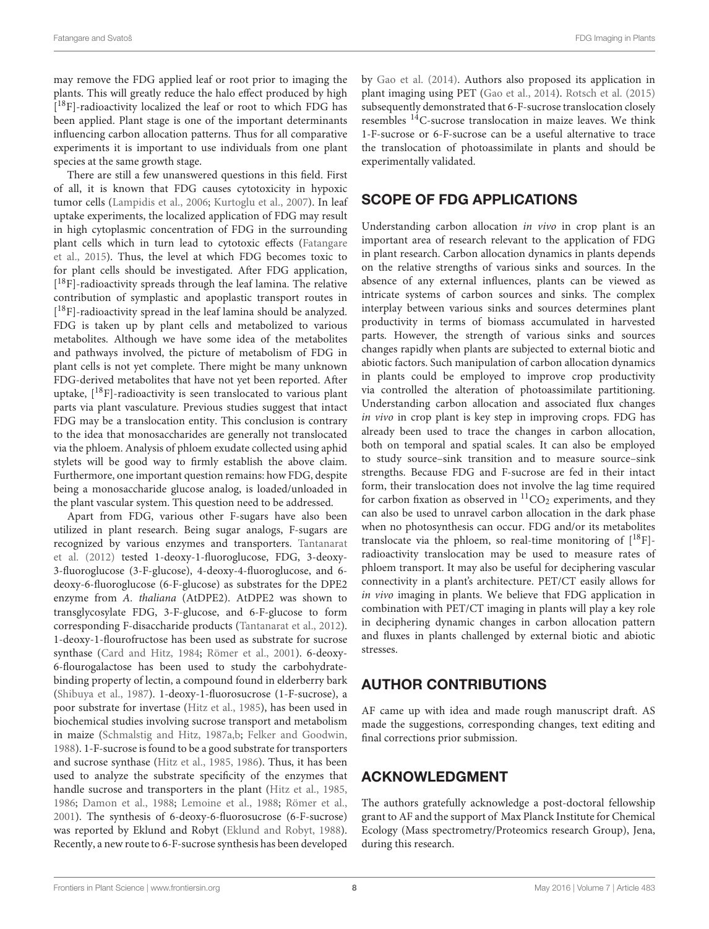may remove the FDG applied leaf or root prior to imaging the plants. This will greatly reduce the halo effect produced by high [ <sup>18</sup>F]-radioactivity localized the leaf or root to which FDG has been applied. Plant stage is one of the important determinants influencing carbon allocation patterns. Thus for all comparative experiments it is important to use individuals from one plant species at the same growth stage.

There are still a few unanswered questions in this field. First of all, it is known that FDG causes cytotoxicity in hypoxic tumor cells [\(Lampidis et al.,](#page-8-28) [2006;](#page-8-28) [Kurtoglu et al.,](#page-8-21) [2007\)](#page-8-21). In leaf uptake experiments, the localized application of FDG may result in high cytoplasmic concentration of FDG in the surrounding plant cells which in turn lead to cytotoxic effects [\(Fatangare](#page-8-1) [et al.,](#page-8-1) [2015\)](#page-8-1). Thus, the level at which FDG becomes toxic to for plant cells should be investigated. After FDG application, [ <sup>18</sup>F]-radioactivity spreads through the leaf lamina. The relative contribution of symplastic and apoplastic transport routes in [<sup>18</sup>F]-radioactivity spread in the leaf lamina should be analyzed. FDG is taken up by plant cells and metabolized to various metabolites. Although we have some idea of the metabolites and pathways involved, the picture of metabolism of FDG in plant cells is not yet complete. There might be many unknown FDG-derived metabolites that have not yet been reported. After uptake, [18F]-radioactivity is seen translocated to various plant parts via plant vasculature. Previous studies suggest that intact FDG may be a translocation entity. This conclusion is contrary to the idea that monosaccharides are generally not translocated via the phloem. Analysis of phloem exudate collected using aphid stylets will be good way to firmly establish the above claim. Furthermore, one important question remains: how FDG, despite being a monosaccharide glucose analog, is loaded/unloaded in the plant vascular system. This question need to be addressed.

Apart from FDG, various other F-sugars have also been utilized in plant research. Being sugar analogs, F-sugars are recognized by various enzymes and transporters. [Tantanarat](#page-9-23) [et al.](#page-9-23) [\(2012\)](#page-9-23) tested 1-deoxy-1-fluoroglucose, FDG, 3-deoxy-3-fluoroglucose (3-F-glucose), 4-deoxy-4-fluoroglucose, and 6 deoxy-6-fluoroglucose (6-F-glucose) as substrates for the DPE2 enzyme from A. thaliana (AtDPE2). AtDPE2 was shown to transglycosylate FDG, 3-F-glucose, and 6-F-glucose to form corresponding F-disaccharide products [\(Tantanarat et al.,](#page-9-23) [2012\)](#page-9-23). 1-deoxy-1-flourofructose has been used as substrate for sucrose synthase [\(Card and Hitz,](#page-8-29) [1984;](#page-8-29) [Römer et al.,](#page-9-33) [2001\)](#page-9-33). 6-deoxy-6-flourogalactose has been used to study the carbohydratebinding property of lectin, a compound found in elderberry bark [\(Shibuya et al.,](#page-9-34) [1987\)](#page-9-34). 1-deoxy-1-fluorosucrose (1-F-sucrose), a poor substrate for invertase [\(Hitz et al.,](#page-8-30) [1985\)](#page-8-30), has been used in biochemical studies involving sucrose transport and metabolism in maize [\(Schmalstig and Hitz,](#page-9-35) [1987a](#page-9-35)[,b;](#page-9-36) [Felker and Goodwin,](#page-8-31) [1988\)](#page-8-31). 1-F-sucrose is found to be a good substrate for transporters and sucrose synthase [\(Hitz et al.,](#page-8-30) [1985,](#page-8-30) [1986\)](#page-8-32). Thus, it has been used to analyze the substrate specificity of the enzymes that handle sucrose and transporters in the plant [\(Hitz et al.,](#page-8-30) [1985,](#page-8-30) [1986;](#page-8-32) [Damon et al.,](#page-8-33) [1988;](#page-8-33) [Lemoine et al.,](#page-8-34) [1988;](#page-8-34) [Römer et al.,](#page-9-33) [2001\)](#page-9-33). The synthesis of 6-deoxy-6-fluorosucrose (6-F-sucrose) was reported by Eklund and Robyt [\(Eklund and Robyt,](#page-8-35) [1988\)](#page-8-35). Recently, a new route to 6-F-sucrose synthesis has been developed

by [Gao et al.](#page-8-36) [\(2014\)](#page-8-36). Authors also proposed its application in plant imaging using PET [\(Gao et al.,](#page-8-36) [2014\)](#page-8-36). [Rotsch et al.](#page-9-13) [\(2015\)](#page-9-13) subsequently demonstrated that 6-F-sucrose translocation closely resembles <sup>14</sup>C-sucrose translocation in maize leaves. We think 1-F-sucrose or 6-F-sucrose can be a useful alternative to trace the translocation of photoassimilate in plants and should be experimentally validated.

#### SCOPE OF FDG APPLICATIONS

Understanding carbon allocation in vivo in crop plant is an important area of research relevant to the application of FDG in plant research. Carbon allocation dynamics in plants depends on the relative strengths of various sinks and sources. In the absence of any external influences, plants can be viewed as intricate systems of carbon sources and sinks. The complex interplay between various sinks and sources determines plant productivity in terms of biomass accumulated in harvested parts. However, the strength of various sinks and sources changes rapidly when plants are subjected to external biotic and abiotic factors. Such manipulation of carbon allocation dynamics in plants could be employed to improve crop productivity via controlled the alteration of photoassimilate partitioning. Understanding carbon allocation and associated flux changes in vivo in crop plant is key step in improving crops. FDG has already been used to trace the changes in carbon allocation, both on temporal and spatial scales. It can also be employed to study source–sink transition and to measure source–sink strengths. Because FDG and F-sucrose are fed in their intact form, their translocation does not involve the lag time required for carbon fixation as observed in  ${}^{11}CO_2$  experiments, and they can also be used to unravel carbon allocation in the dark phase when no photosynthesis can occur. FDG and/or its metabolites translocate via the phloem, so real-time monitoring of  $[^{18}F]$ radioactivity translocation may be used to measure rates of phloem transport. It may also be useful for deciphering vascular connectivity in a plant's architecture. PET/CT easily allows for in vivo imaging in plants. We believe that FDG application in combination with PET/CT imaging in plants will play a key role in deciphering dynamic changes in carbon allocation pattern and fluxes in plants challenged by external biotic and abiotic stresses.

### AUTHOR CONTRIBUTIONS

AF came up with idea and made rough manuscript draft. AS made the suggestions, corresponding changes, text editing and final corrections prior submission.

### ACKNOWLEDGMENT

The authors gratefully acknowledge a post-doctoral fellowship grant to AF and the support of Max Planck Institute for Chemical Ecology (Mass spectrometry/Proteomics research Group), Jena, during this research.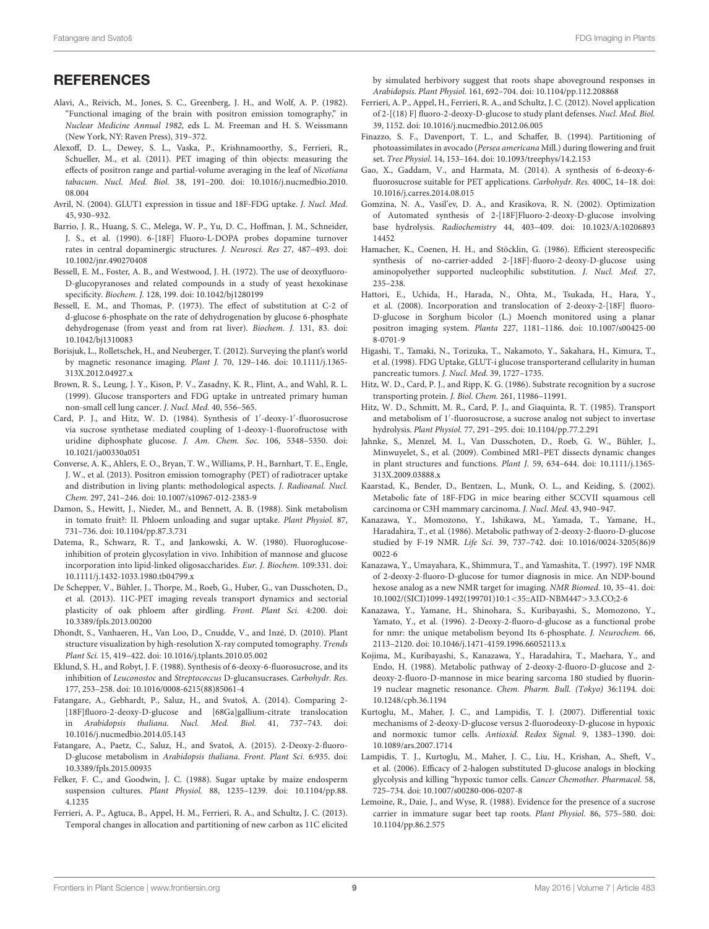#### **REFERENCES**

- <span id="page-8-3"></span>Alavi, A., Reivich, M., Jones, S. C., Greenberg, J. H., and Wolf, A. P. (1982). "Functional imaging of the brain with positron emission tomography," in Nuclear Medicine Annual 1982, eds L. M. Freeman and H. S. Weissmann (New York, NY: Raven Press), 319–372.
- <span id="page-8-27"></span>Alexoff, D. L., Dewey, S. L., Vaska, P., Krishnamoorthy, S., Ferrieri, R., Schueller, M., et al. (2011). PET imaging of thin objects: measuring the effects of positron range and partial-volume averaging in the leaf of Nicotiana tabacum. Nucl. Med. Biol. 38, 191–200. doi: 10.1016/j.nucmedbio.2010. 08.004
- <span id="page-8-13"></span>Avril, N. (2004). GLUT1 expression in tissue and 18F-FDG uptake. J. Nucl. Med. 45, 930–932.
- <span id="page-8-4"></span>Barrio, J. R., Huang, S. C., Melega, W. P., Yu, D. C., Hoffman, J. M., Schneider, J. S., et al. (1990). 6-[18F] Fluoro-L-DOPA probes dopamine turnover rates in central dopaminergic structures. J. Neurosci. Res 27, 487–493. doi: 10.1002/jnr.490270408
- <span id="page-8-14"></span>Bessell, E. M., Foster, A. B., and Westwood, J. H. (1972). The use of deoxyfluoro-D-glucopyranoses and related compounds in a study of yeast hexokinase specificity. Biochem. J. 128, 199. doi: 10.1042/bj1280199
- <span id="page-8-15"></span>Bessell, E. M., and Thomas, P. (1973). The effect of substitution at C-2 of d-glucose 6-phosphate on the rate of dehydrogenation by glucose 6-phosphate dehydrogenase (from yeast and from rat liver). Biochem. J. 131, 83. doi: 10.1042/bj1310083
- <span id="page-8-25"></span>Borisjuk, L., Rolletschek, H., and Neuberger, T. (2012). Surveying the plant's world by magnetic resonance imaging. Plant J. 70, 129–146. doi: 10.1111/j.1365- 313X.2012.04927.x
- <span id="page-8-12"></span>Brown, R. S., Leung, J. Y., Kison, P. V., Zasadny, K. R., Flint, A., and Wahl, R. L. (1999). Glucose transporters and FDG uptake in untreated primary human non-small cell lung cancer. J. Nucl. Med. 40, 556–565.
- <span id="page-8-29"></span>Card, P. J., and Hitz, W. D. (1984). Synthesis of 1'-deoxy-1'-fluorosucrose via sucrose synthetase mediated coupling of 1-deoxy-1-fluorofructose with uridine diphosphate glucose. J. Am. Chem. Soc. 106, 5348–5350. doi: 10.1021/ja00330a051
- <span id="page-8-23"></span>Converse, A. K., Ahlers, E. O., Bryan, T. W., Williams, P. H., Barnhart, T. E., Engle, J. W., et al. (2013). Positron emission tomography (PET) of radiotracer uptake and distribution in living plants: methodological aspects. J. Radioanal. Nucl. Chem. 297, 241–246. doi: 10.1007/s10967-012-2383-9
- <span id="page-8-33"></span>Damon, S., Hewitt, J., Nieder, M., and Bennett, A. B. (1988). Sink metabolism in tomato fruit?: II. Phloem unloading and sugar uptake. Plant Physiol. 87, 731–736. doi: 10.1104/pp.87.3.731
- <span id="page-8-20"></span>Datema, R., Schwarz, R. T., and Jankowski, A. W. (1980). Fluoroglucoseinhibition of protein glycosylation in vivo. Inhibition of mannose and glucose incorporation into lipid-linked oligosaccharides. Eur. J. Biochem. 109:331. doi: 10.1111/j.1432-1033.1980.tb04799.x
- <span id="page-8-24"></span>De Schepper, V., Bühler, J., Thorpe, M., Roeb, G., Huber, G., van Dusschoten, D., et al. (2013). 11C-PET imaging reveals transport dynamics and sectorial plasticity of oak phloem after girdling. Front. Plant Sci. 4:200. doi: 10.3389/fpls.2013.00200
- <span id="page-8-26"></span>Dhondt, S., Vanhaeren, H., Van Loo, D., Cnudde, V., and Inzé, D. (2010). Plant structure visualization by high-resolution X-ray computed tomography. Trends Plant Sci. 15, 419–422. doi: 10.1016/j.tplants.2010.05.002
- <span id="page-8-35"></span>Eklund, S. H., and Robyt, J. F. (1988). Synthesis of 6-deoxy-6-fluorosucrose, and its inhibition of Leuconostoc and Streptococcus D-glucansucrases. Carbohydr. Res. 177, 253–258. doi: 10.1016/0008-6215(88)85061-4
- <span id="page-8-5"></span>Fatangare, A., Gebhardt, P., Saluz, H., and Svatoš, A. (2014). Comparing 2- [18F]fluoro-2-deoxy-D-glucose and [68Ga]gallium-citrate translocation in Arabidopsis thaliana. Nucl. Med. Biol. 41, 737–743. doi: 10.1016/j.nucmedbio.2014.05.143
- <span id="page-8-1"></span>Fatangare, A., Paetz, C., Saluz, H., and Svatoš, A. (2015). 2-Deoxy-2-fluoro-D-glucose metabolism in Arabidopsis thaliana. Front. Plant Sci. 6:935. doi: 10.3389/fpls.2015.00935
- <span id="page-8-31"></span>Felker, F. C., and Goodwin, J. C. (1988). Sugar uptake by maize endosperm suspension cultures. Plant Physiol. 88, 1235–1239. doi: 10.1104/pp.88. 4.1235
- <span id="page-8-9"></span>Ferrieri, A. P., Agtuca, B., Appel, H. M., Ferrieri, R. A., and Schultz, J. C. (2013). Temporal changes in allocation and partitioning of new carbon as 11C elicited

by simulated herbivory suggest that roots shape aboveground responses in Arabidopsis. Plant Physiol. 161, 692–704. doi: 10.1104/pp.112.208868

- <span id="page-8-6"></span>Ferrieri, A. P., Appel, H., Ferrieri, R. A., and Schultz, J. C. (2012). Novel application of 2-[(18) F] fluoro-2-deoxy-D-glucose to study plant defenses. Nucl. Med. Biol. 39, 1152. doi: 10.1016/j.nucmedbio.2012.06.005
- <span id="page-8-2"></span>Finazzo, S. F., Davenport, T. L., and Schaffer, B. (1994). Partitioning of photoassimilates in avocado (Persea americana Mill.) during flowering and fruit set. Tree Physiol. 14, 153–164. doi: 10.1093/treephys/14.2.153
- <span id="page-8-36"></span>Gao, X., Gaddam, V., and Harmata, M. (2014). A synthesis of 6-deoxy-6 fluorosucrose suitable for PET applications. Carbohydr. Res. 400C, 14–18. doi: 10.1016/j.carres.2014.08.015
- <span id="page-8-8"></span>Gomzina, N. A., Vasil'ev, D. A., and Krasikova, R. N. (2002). Optimization of Automated synthesis of 2-[18F]Fluoro-2-deoxy-D-glucose involving base hydrolysis. Radiochemistry 44, 403–409. doi: 10.1023/A:10206893 14452
- <span id="page-8-7"></span>Hamacher, K., Coenen, H. H., and Stöcklin, G. (1986). Efficient stereospecific synthesis of no-carrier-added 2-[18F]-fluoro-2-deoxy-D-glucose using aminopolyether supported nucleophilic substitution. J. Nucl. Med. 27, 235–238.
- <span id="page-8-0"></span>Hattori, E., Uchida, H., Harada, N., Ohta, M., Tsukada, H., Hara, Y., et al. (2008). Incorporation and translocation of 2-deoxy-2-[18F] fluoro-D-glucose in Sorghum bicolor (L.) Moench monitored using a planar positron imaging system. Planta 227, 1181–1186. doi: 10.1007/s00425-00 8-0701-9
- <span id="page-8-11"></span>Higashi, T., Tamaki, N., Torizuka, T., Nakamoto, Y., Sakahara, H., Kimura, T., et al. (1998). FDG Uptake, GLUT-i glucose transporterand cellularity in human pancreatic tumors. J. Nucl. Med. 39, 1727–1735.
- <span id="page-8-32"></span>Hitz, W. D., Card, P. J., and Ripp, K. G. (1986). Substrate recognition by a sucrose transporting protein. J. Biol. Chem. 261, 11986–11991.
- <span id="page-8-30"></span>Hitz, W. D., Schmitt, M. R., Card, P. J., and Giaquinta, R. T. (1985). Transport and metabolism of 1'-fluorosucrose, a sucrose analog not subject to invertase hydrolysis. Plant Physiol. 77, 291–295. doi: 10.1104/pp.77.2.291
- <span id="page-8-22"></span>Jahnke, S., Menzel, M. I., Van Dusschoten, D., Roeb, G. W., Bühler, J., Minwuyelet, S., et al. (2009). Combined MRI–PET dissects dynamic changes in plant structures and functions. Plant J. 59, 634–644. doi: 10.1111/j.1365- 313X.2009.03888.x
- <span id="page-8-10"></span>Kaarstad, K., Bender, D., Bentzen, L., Munk, O. L., and Keiding, S. (2002). Metabolic fate of 18F-FDG in mice bearing either SCCVII squamous cell carcinoma or C3H mammary carcinoma. J. Nucl. Med. 43, 940–947.
- <span id="page-8-18"></span>Kanazawa, Y., Momozono, Y., Ishikawa, M., Yamada, T., Yamane, H., Haradahira, T., et al. (1986). Metabolic pathway of 2-deoxy-2-fluoro-D-glucose studied by F-19 NMR. Life Sci. 39, 737–742. doi: 10.1016/0024-3205(86)9 0022-6
- <span id="page-8-17"></span>Kanazawa, Y., Umayahara, K., Shimmura, T., and Yamashita, T. (1997). 19F NMR of 2-deoxy-2-fluoro-D-glucose for tumor diagnosis in mice. An NDP-bound hexose analog as a new NMR target for imaging. NMR Biomed. 10, 35–41. doi: 10.1002/(SICI)1099-1492(199701)10:1<35::AID-NBM447>3.3.CO;2-6
- <span id="page-8-16"></span>Kanazawa, Y., Yamane, H., Shinohara, S., Kuribayashi, S., Momozono, Y., Yamato, Y., et al. (1996). 2-Deoxy-2-fluoro-d-glucose as a functional probe for nmr: the unique metabolism beyond Its 6-phosphate. J. Neurochem. 66, 2113–2120. doi: 10.1046/j.1471-4159.1996.66052113.x
- <span id="page-8-19"></span>Kojima, M., Kuribayashi, S., Kanazawa, Y., Haradahira, T., Maehara, Y., and Endo, H. (1988). Metabolic pathway of 2-deoxy-2-fluoro-D-glucose and 2 deoxy-2-fluoro-D-mannose in mice bearing sarcoma 180 studied by fluorin-19 nuclear magnetic resonance. Chem. Pharm. Bull. (Tokyo) 36:1194. doi: 10.1248/cpb.36.1194
- <span id="page-8-21"></span>Kurtoglu, M., Maher, J. C., and Lampidis, T. J. (2007). Differential toxic mechanisms of 2-deoxy-D-glucose versus 2-fluorodeoxy-D-glucose in hypoxic and normoxic tumor cells. Antioxid. Redox Signal. 9, 1383–1390. doi: 10.1089/ars.2007.1714
- <span id="page-8-28"></span>Lampidis, T. J., Kurtoglu, M., Maher, J. C., Liu, H., Krishan, A., Sheft, V., et al. (2006). Efficacy of 2-halogen substituted D-glucose analogs in blocking glycolysis and killing "hypoxic tumor cells. Cancer Chemother. Pharmacol. 58, 725–734. doi: 10.1007/s00280-006-0207-8
- <span id="page-8-34"></span>Lemoine, R., Daie, J., and Wyse, R. (1988). Evidence for the presence of a sucrose carrier in immature sugar beet tap roots. Plant Physiol. 86, 575–580. doi: 10.1104/pp.86.2.575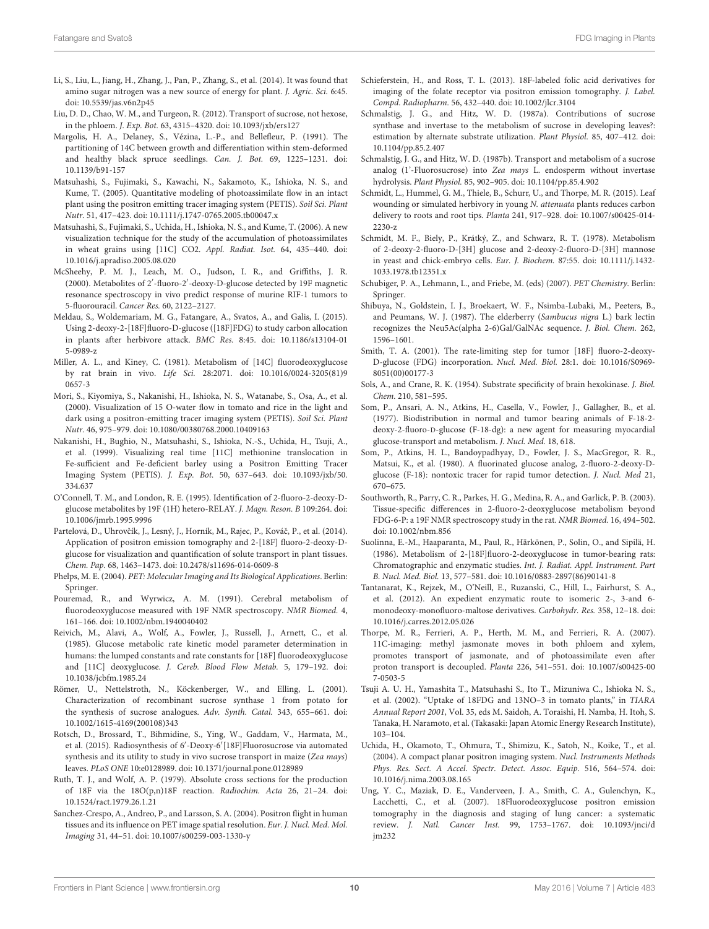- <span id="page-9-12"></span>Li, S., Liu, L., Jiang, H., Zhang, J., Pan, P., Zhang, S., et al. (2014). It was found that amino sugar nitrogen was a new source of energy for plant. J. Agric. Sci. 6:45. doi: 10.5539/jas.v6n2p45
- <span id="page-9-15"></span>Liu, D. D., Chao, W. M., and Turgeon, R. (2012). Transport of sucrose, not hexose, in the phloem. J. Exp. Bot. 63, 4315–4320. doi: 10.1093/jxb/ers127
- <span id="page-9-1"></span>Margolis, H. A., Delaney, S., Vézina, L.-P., and Bellefleur, P. (1991). The partitioning of 14C between growth and differentiation within stem-deformed and healthy black spruce seedlings. Can. J. Bot. 69, 1225–1231. doi: 10.1139/b91-157
- <span id="page-9-30"></span>Matsuhashi, S., Fujimaki, S., Kawachi, N., Sakamoto, K., Ishioka, N. S., and Kume, T. (2005). Quantitative modeling of photoassimilate flow in an intact plant using the positron emitting tracer imaging system (PETIS). Soil Sci. Plant Nutr. 51, 417–423. doi: 10.1111/j.1747-0765.2005.tb00047.x
- <span id="page-9-32"></span>Matsuhashi, S., Fujimaki, S., Uchida, H., Ishioka, N. S., and Kume, T. (2006). A new visualization technique for the study of the accumulation of photoassimilates in wheat grains using [11C] CO2. Appl. Radiat. Isot. 64, 435–440. doi: 10.1016/j.apradiso.2005.08.020
- <span id="page-9-16"></span>McSheehy, P. M. J., Leach, M. O., Judson, I. R., and Griffiths, J. R. (2000). Metabolites of 2'-fluoro-2'-deoxy-D-glucose detected by 19F magnetic resonance spectroscopy in vivo predict response of murine RIF-1 tumors to 5-fluorouracil. Cancer Res. 60, 2122–2127.
- <span id="page-9-5"></span>Meldau, S., Woldemariam, M. G., Fatangare, A., Svatos, A., and Galis, I. (2015). Using 2-deoxy-2-[18F]fluoro-D-glucose ([18F]FDG) to study carbon allocation in plants after herbivore attack. BMC Res. 8:45. doi: 10.1186/s13104-01 5-0989-z
- <span id="page-9-20"></span>Miller, A. L., and Kiney, C. (1981). Metabolism of [14C] fluorodeoxyglucose by rat brain in vivo. Life Sci. 28:2071. doi: 10.1016/0024-3205(81)9 0657-3
- <span id="page-9-29"></span>Mori, S., Kiyomiya, S., Nakanishi, H., Ishioka, N. S., Watanabe, S., Osa, A., et al. (2000). Visualization of 15 O-water flow in tomato and rice in the light and dark using a positron-emitting tracer imaging system (PETIS). Soil Sci. Plant Nutr. 46, 975–979. doi: 10.1080/00380768.2000.10409163
- <span id="page-9-28"></span>Nakanishi, H., Bughio, N., Matsuhashi, S., Ishioka, N.-S., Uchida, H., Tsuji, A., et al. (1999). Visualizing real time [11C] methionine translocation in Fe-sufficient and Fe-deficient barley using a Positron Emitting Tracer Imaging System (PETIS). J. Exp. Bot. 50, 637–643. doi: 10.1093/jxb/50. 334.637
- <span id="page-9-26"></span>O'Connell, T. M., and London, R. E. (1995). Identification of 2-fluoro-2-deoxy-Dglucose metabolites by 19F (1H) hetero-RELAY. J. Magn. Reson. B 109:264. doi: 10.1006/jmrb.1995.9996
- <span id="page-9-4"></span>Partelová, D., Uhrovčík, J., Lesný, J., Horník, M., Rajec, P., Kováč, P., et al. (2014). Application of positron emission tomography and 2-[18F] fluoro-2-deoxy-Dglucose for visualization and quantification of solute transport in plant tissues. Chem. Pap. 68, 1463–1473. doi: 10.2478/s11696-014-0609-8
- <span id="page-9-2"></span>Phelps, M. E. (2004). PET: Molecular Imaging and Its Biological Applications. Berlin: Springer.
- <span id="page-9-25"></span>Pouremad, R., and Wyrwicz, A. M. (1991). Cerebral metabolism of fluorodeoxyglucose measured with 19F NMR spectroscopy. NMR Biomed. 4, 161–166. doi: 10.1002/nbm.1940040402
- <span id="page-9-21"></span>Reivich, M., Alavi, A., Wolf, A., Fowler, J., Russell, J., Arnett, C., et al. (1985). Glucose metabolic rate kinetic model parameter determination in humans: the lumped constants and rate constants for [18F] fluorodeoxyglucose and [11C] deoxyglucose. J. Cereb. Blood Flow Metab. 5, 179–192. doi: 10.1038/jcbfm.1985.24
- <span id="page-9-33"></span>Römer, U., Nettelstroth, N., Köckenberger, W., and Elling, L. (2001). Characterization of recombinant sucrose synthase 1 from potato for the synthesis of sucrose analogues. Adv. Synth. Catal. 343, 655–661. doi: 10.1002/1615-4169(200108)343
- <span id="page-9-13"></span>Rotsch, D., Brossard, T., Bihmidine, S., Ying, W., Gaddam, V., Harmata, M., et al. (2015). Radiosynthesis of 6'-Deoxy-6'[18F]Fluorosucrose via automated synthesis and its utility to study in vivo sucrose transport in maize (Zea mays) leaves. PLoS ONE 10:e0128989. doi: 10.1371/journal.pone.0128989
- <span id="page-9-6"></span>Ruth, T. J., and Wolf, A. P. (1979). Absolute cross sections for the production of 18F via the 18O(p,n)18F reaction. Radiochim. Acta 26, 21–24. doi: 10.1524/ract.1979.26.1.21
- <span id="page-9-8"></span>Sanchez-Crespo, A., Andreo, P., and Larsson, S. A. (2004). Positron flight in human tissues and its influence on PET image spatial resolution. Eur. J. Nucl. Med. Mol. Imaging 31, 44–51. doi: 10.1007/s00259-003-1330-y
- <span id="page-9-3"></span>Schieferstein, H., and Ross, T. L. (2013). 18F-labeled folic acid derivatives for imaging of the folate receptor via positron emission tomography. J. Label. Compd. Radiopharm. 56, 432–440. doi: 10.1002/jlcr.3104
- <span id="page-9-35"></span>Schmalstig, J. G., and Hitz, W. D. (1987a). Contributions of sucrose synthase and invertase to the metabolism of sucrose in developing leaves?: estimation by alternate substrate utilization. Plant Physiol. 85, 407–412. doi: 10.1104/pp.85.2.407
- <span id="page-9-36"></span>Schmalstig, J. G., and Hitz, W. D. (1987b). Transport and metabolism of a sucrose analog (1'-Fluorosucrose) into Zea mays L. endosperm without invertase hydrolysis. Plant Physiol. 85, 902–905. doi: 10.1104/pp.85.4.902
- <span id="page-9-14"></span>Schmidt, L., Hummel, G. M., Thiele, B., Schurr, U., and Thorpe, M. R. (2015). Leaf wounding or simulated herbivory in young N. attenuata plants reduces carbon delivery to roots and root tips. Planta 241, 917–928. doi: 10.1007/s00425-014- 2230-z
- <span id="page-9-24"></span>Schmidt, M. F., Biely, P., Krátký, Z., and Schwarz, R. T. (1978). Metabolism of 2-deoxy-2-fluoro-D-[3H] glucose and 2-deoxy-2-fluoro-D-[3H] mannose in yeast and chick-embryo cells. Eur. J. Biochem. 87:55. doi: 10.1111/j.1432- 1033.1978.tb12351.x
- <span id="page-9-7"></span>Schubiger, P. A., Lehmann, L., and Friebe, M. (eds) (2007). PET Chemistry. Berlin: Springer.
- <span id="page-9-34"></span>Shibuya, N., Goldstein, I. J., Broekaert, W. F., Nsimba-Lubaki, M., Peeters, B., and Peumans, W. J. (1987). The elderberry (Sambucus nigra L.) bark lectin recognizes the Neu5Ac(alpha 2-6)Gal/GalNAc sequence. J. Biol. Chem. 262, 1596–1601.
- <span id="page-9-19"></span>Smith, T. A. (2001). The rate-limiting step for tumor [18F] fluoro-2-deoxy-D-glucose (FDG) incorporation. Nucl. Med. Biol. 28:1. doi: 10.1016/S0969- 8051(00)00177-3
- <span id="page-9-18"></span>Sols, A., and Crane, R. K. (1954). Substrate specificity of brain hexokinase. J. Biol. Chem. 210, 581–595.
- <span id="page-9-9"></span>Som, P., Ansari, A. N., Atkins, H., Casella, V., Fowler, J., Gallagher, B., et al. (1977). Biodistribution in normal and tumor bearing animals of F-18-2 deoxy-2-fluoro-D-glucose (F-18-dg): a new agent for measuring myocardial glucose-transport and metabolism. J. Nucl. Med. 18, 618.
- <span id="page-9-10"></span>Som, P., Atkins, H. L., Bandoypadhyay, D., Fowler, J. S., MacGregor, R. R., Matsui, K., et al. (1980). A fluorinated glucose analog, 2-fluoro-2-deoxy-Dglucose (F-18): nontoxic tracer for rapid tumor detection. J. Nucl. Med 21, 670–675.
- <span id="page-9-17"></span>Southworth, R., Parry, C. R., Parkes, H. G., Medina, R. A., and Garlick, P. B. (2003). Tissue-specific differences in 2-fluoro-2-deoxyglucose metabolism beyond FDG-6-P: a 19F NMR spectroscopy study in the rat. NMR Biomed. 16, 494–502. doi: 10.1002/nbm.856
- <span id="page-9-22"></span>Suolinna, E.-M., Haaparanta, M., Paul, R., Härkönen, P., Solin, O., and Sipilä, H. (1986). Metabolism of 2-[18F]fluoro-2-deoxyglucose in tumor-bearing rats: Chromatographic and enzymatic studies. Int. J. Radiat. Appl. Instrument. Part B. Nucl. Med. Biol. 13, 577–581. doi: 10.1016/0883-2897(86)90141-8
- <span id="page-9-23"></span>Tantanarat, K., Rejzek, M., O'Neill, E., Ruzanski, C., Hill, L., Fairhurst, S. A., et al. (2012). An expedient enzymatic route to isomeric 2-, 3-and 6 monodeoxy-monofluoro-maltose derivatives. Carbohydr. Res. 358, 12–18. doi: 10.1016/j.carres.2012.05.026
- <span id="page-9-27"></span>Thorpe, M. R., Ferrieri, A. P., Herth, M. M., and Ferrieri, R. A. (2007). 11C-imaging: methyl jasmonate moves in both phloem and xylem, promotes transport of jasmonate, and of photoassimilate even after proton transport is decoupled. Planta 226, 541–551. doi: 10.1007/s00425-00 7-0503-5
- <span id="page-9-0"></span>Tsuji A. U. H., Yamashita T., Matsuhashi S., Ito T., Mizuniwa C., Ishioka N. S., et al. (2002). "Uptake of 18FDG and 13NO–3 in tomato plants," in TIARA Annual Report 2001, Vol. 35, eds M. Saidoh, A. Toraishi, H. Namba, H. Itoh, S. Tanaka, H. Naramoto, et al. (Takasaki: Japan Atomic Energy Research Institute), 103–104.
- <span id="page-9-31"></span>Uchida, H., Okamoto, T., Ohmura, T., Shimizu, K., Satoh, N., Koike, T., et al. (2004). A compact planar positron imaging system. Nucl. Instruments Methods Phys. Res. Sect. A Accel. Spectr. Detect. Assoc. Equip. 516, 564–574. doi: 10.1016/j.nima.2003.08.165
- <span id="page-9-11"></span>Ung, Y. C., Maziak, D. E., Vanderveen, J. A., Smith, C. A., Gulenchyn, K., Lacchetti, C., et al. (2007). 18Fluorodeoxyglucose positron emission tomography in the diagnosis and staging of lung cancer: a systematic review. J. Natl. Cancer Inst. 99, 1753–1767. doi: 10.1093/jnci/d jm232